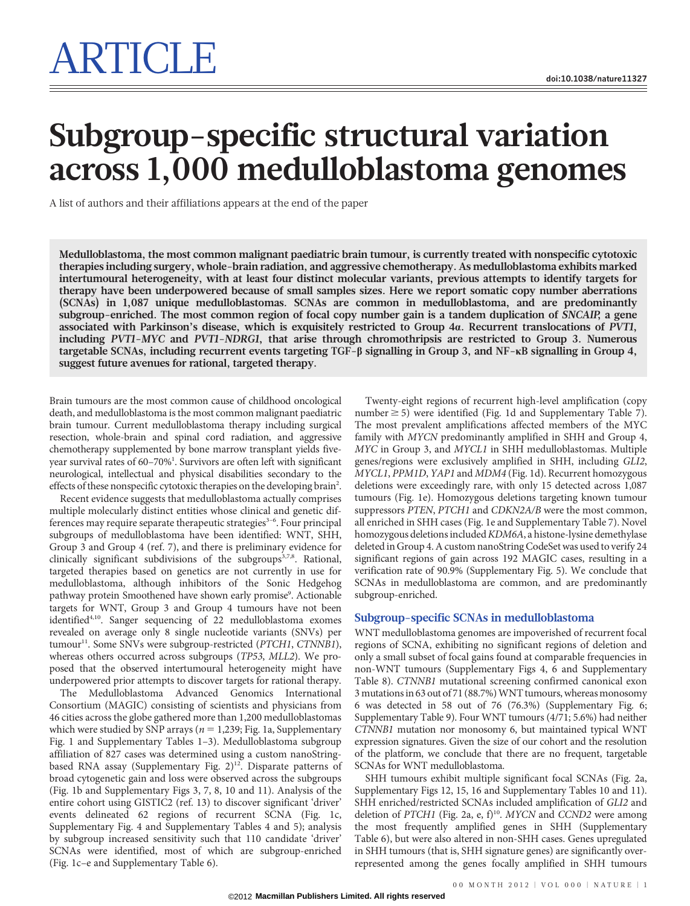# Subgroup-specific structural variation across 1,000 medulloblastoma genomes

A list of authors and their affiliations appears at the end of the paper

Medulloblastoma, the most common malignant paediatric brain tumour, is currently treated with nonspecific cytotoxic therapies including surgery, whole-brain radiation, and aggressive chemotherapy. As medulloblastoma exhibits marked intertumoural heterogeneity, with at least four distinct molecular variants, previous attempts to identify targets for therapy have been underpowered because of small samples sizes. Here we report somatic copy number aberrations (SCNAs) in 1,087 unique medulloblastomas. SCNAs are common in medulloblastoma, and are predominantly subgroup-enriched. The most common region of focal copy number gain is a tandem duplication of SNCAIP, a gene associated with Parkinson's disease, which is exquisitely restricted to Group 4a. Recurrent translocations of PVT1, including PVT1-MYC and PVT1-NDRG1, that arise through chromothripsis are restricted to Group 3. Numerous targetable SCNAs, including recurrent events targeting TGF-b signalling in Group 3, and NF-kB signalling in Group 4, suggest future avenues for rational, targeted therapy.

Brain tumours are the most common cause of childhood oncological death, and medulloblastoma is the most common malignant paediatric brain tumour. Current medulloblastoma therapy including surgical resection, whole-brain and spinal cord radiation, and aggressive chemotherapy supplemented by bone marrow transplant yields fiveyear survival rates of 60–70%<sup>1</sup>. Survivors are often left with significant neurological, intellectual and physical disabilities secondary to the effects of these nonspecific cytotoxic therapies on the developing brain<sup>2</sup>.

Recent evidence suggests that medulloblastoma actually comprises multiple molecularly distinct entities whose clinical and genetic differences may require separate therapeutic strategies $3-6$ . Four principal subgroups of medulloblastoma have been identified: WNT, SHH, Group 3 and Group 4 (ref. 7), and there is preliminary evidence for clinically significant subdivisions of the subgroups $3,7,8$ . Rational, targeted therapies based on genetics are not currently in use for medulloblastoma, although inhibitors of the Sonic Hedgehog pathway protein Smoothened have shown early promise<sup>9</sup>. Actionable targets for WNT, Group 3 and Group 4 tumours have not been identified4,10. Sanger sequencing of 22 medulloblastoma exomes revealed on average only 8 single nucleotide variants (SNVs) per tumour<sup>11</sup>. Some SNVs were subgroup-restricted (PTCH1, CTNNB1), whereas others occurred across subgroups (TP53, MLL2). We proposed that the observed intertumoural heterogeneity might have underpowered prior attempts to discover targets for rational therapy.

The Medulloblastoma Advanced Genomics International Consortium (MAGIC) consisting of scientists and physicians from 46 cities across the globe gathered more than 1,200 medulloblastomas which were studied by SNP arrays ( $n = 1,239$ ; Fig. 1a, Supplementary Fig. 1 and Supplementary Tables 1–3). Medulloblastoma subgroup affiliation of 827 cases was determined using a custom nanoStringbased RNA assay (Supplementary Fig. 2)<sup>12</sup>. Disparate patterns of broad cytogenetic gain and loss were observed across the subgroups (Fig. 1b and Supplementary Figs 3, 7, 8, 10 and 11). Analysis of the entire cohort using GISTIC2 (ref. 13) to discover significant 'driver' events delineated 62 regions of recurrent SCNA (Fig. 1c, Supplementary Fig. 4 and Supplementary Tables 4 and 5); analysis by subgroup increased sensitivity such that 110 candidate 'driver' SCNAs were identified, most of which are subgroup-enriched (Fig. 1c–e and Supplementary Table 6).

Twenty-eight regions of recurrent high-level amplification (copy number  $\geq$  5) were identified (Fig. 1d and Supplementary Table 7). The most prevalent amplifications affected members of the MYC family with MYCN predominantly amplified in SHH and Group 4, MYC in Group 3, and MYCL1 in SHH medulloblastomas. Multiple genes/regions were exclusively amplified in SHH, including GLI2, MYCL1, PPM1D, YAP1 and MDM4 (Fig. 1d). Recurrent homozygous deletions were exceedingly rare, with only 15 detected across 1,087 tumours (Fig. 1e). Homozygous deletions targeting known tumour suppressors PTEN, PTCH1 and CDKN2A/B were the most common, all enriched in SHH cases (Fig. 1e and Supplementary Table 7). Novel homozygous deletions included KDM6A, a histone-lysine demethylase deleted in Group 4. A custom nanoString CodeSet was used to verify 24 significant regions of gain across 192 MAGIC cases, resulting in a verification rate of 90.9% (Supplementary Fig. 5). We conclude that SCNAs in medulloblastoma are common, and are predominantly subgroup-enriched.

#### Subgroup-specific SCNAs in medulloblastoma

WNT medulloblastoma genomes are impoverished of recurrent focal regions of SCNA, exhibiting no significant regions of deletion and only a small subset of focal gains found at comparable frequencies in non-WNT tumours (Supplementary Figs 4, 6 and Supplementary Table 8). CTNNB1 mutational screening confirmed canonical exon 3 mutations in 63 out of 71 (88.7%) WNT tumours, whereas monosomy 6 was detected in 58 out of 76 (76.3%) (Supplementary Fig. 6; Supplementary Table 9). Four WNT tumours (4/71; 5.6%) had neither CTNNB1 mutation nor monosomy 6, but maintained typical WNT expression signatures. Given the size of our cohort and the resolution of the platform, we conclude that there are no frequent, targetable SCNAs for WNT medulloblastoma.

SHH tumours exhibit multiple significant focal SCNAs (Fig. 2a, Supplementary Figs 12, 15, 16 and Supplementary Tables 10 and 11). SHH enriched/restricted SCNAs included amplification of GLI2 and deletion of PTCH1 (Fig. 2a, e, f)<sup>10</sup>. MYCN and CCND2 were among the most frequently amplified genes in SHH (Supplementary Table 6), but were also altered in non-SHH cases. Genes upregulated in SHH tumours (that is, SHH signature genes) are significantly overrepresented among the genes focally amplified in SHH tumours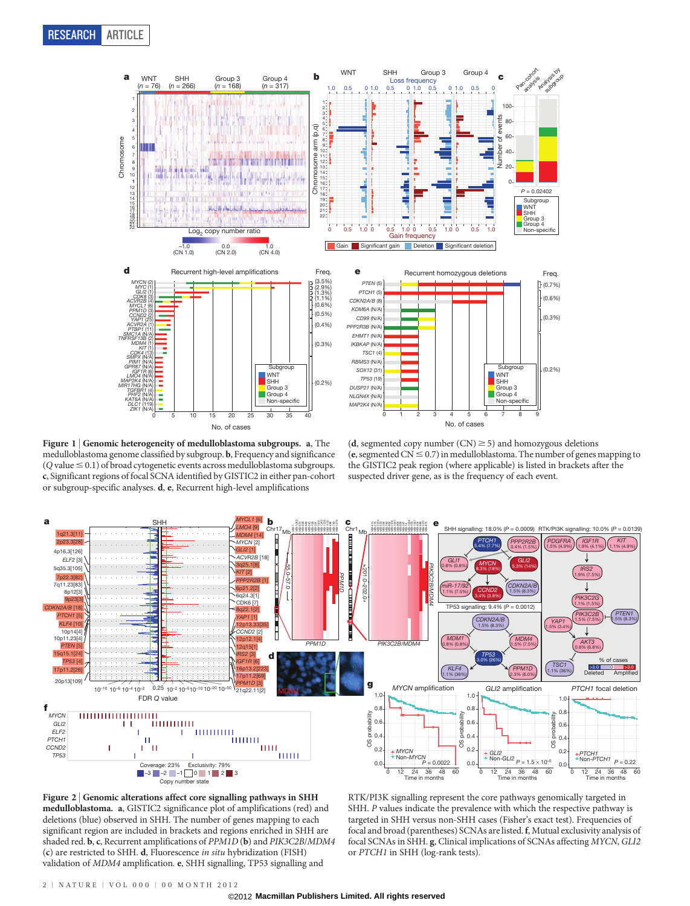

Figure 1 | Genomic heterogeneity of medulloblastoma subgroups. a, The medulloblastoma genome classified by subgroup. b, Frequency and significance  $(Q$  value  $\leq 0.1$ ) of broad cytogenetic events across medulloblastoma subgroups. c, Significant regions of focal SCNA identified by GISTIC2 in either pan-cohort or subgroup-specific analyses. d, e, Recurrent high-level amplifications

(d, segmented copy number  $(CN) \ge 5$ ) and homozygous deletions (e, segmented  $CN \leq 0.7$ ) in medulloblastoma. The number of genes mapping to the GISTIC2 peak region (where applicable) is listed in brackets after the suspected driver gene, as is the frequency of each event.





RTK/PI3K signalling represent the core pathways genomically targeted in SHH. P values indicate the prevalence with which the respective pathway is targeted in SHH versus non-SHH cases (Fisher's exact test). Frequencies of focal and broad (parentheses) SCNAs are listed.f, Mutual exclusivity analysis of focal SCNAs in SHH. g, Clinical implications of SCNAs affecting MYCN, GLI2 or PTCH1 in SHH (log-rank tests).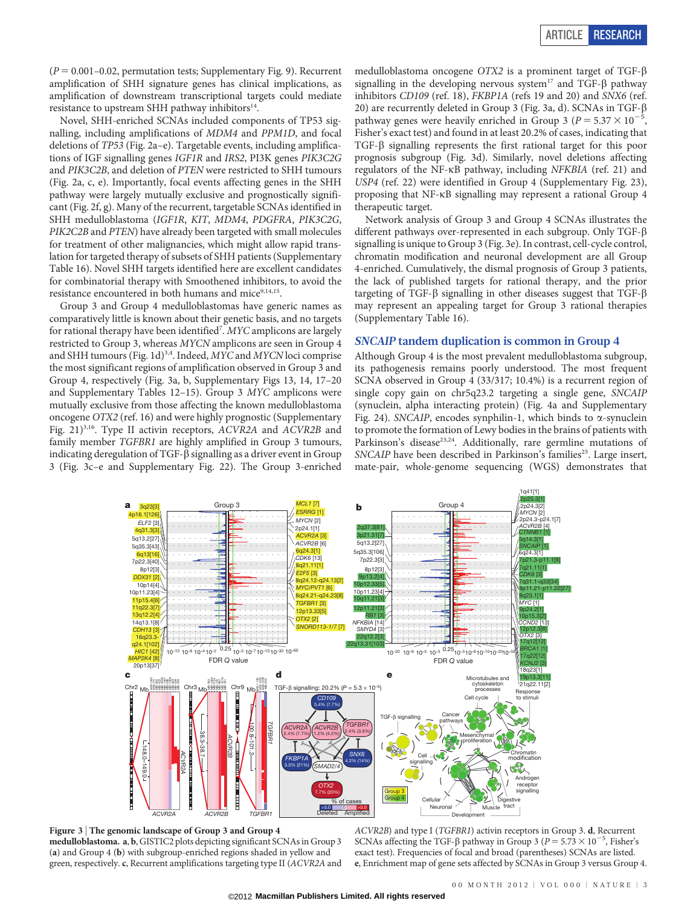$(P = 0.001 - 0.02$ , permutation tests; Supplementary Fig. 9). Recurrent amplification of SHH signature genes has clinical implications, as amplification of downstream transcriptional targets could mediate resistance to upstream SHH pathway inhibitors $14$ .

Novel, SHH-enriched SCNAs included components of TP53 signalling, including amplifications of MDM4 and PPM1D, and focal deletions of TP53 (Fig. 2a–e). Targetable events, including amplifications of IGF signalling genes IGF1R and IRS2, PI3K genes PIK3C2G and PIK3C2B, and deletion of PTEN were restricted to SHH tumours (Fig. 2a, c, e). Importantly, focal events affecting genes in the SHH pathway were largely mutually exclusive and prognostically significant (Fig. 2f, g). Many of the recurrent, targetable SCNAs identified in SHH medulloblastoma (IGF1R, KIT, MDM4, PDGFRA, PIK3C2G, PIK2C2B and PTEN) have already been targeted with small molecules for treatment of other malignancies, which might allow rapid translation for targeted therapy of subsets of SHH patients (Supplementary Table 16). Novel SHH targets identified here are excellent candidates for combinatorial therapy with Smoothened inhibitors, to avoid the resistance encountered in both humans and mice<sup>9,14,15</sup>.

Group 3 and Group 4 medulloblastomas have generic names as comparatively little is known about their genetic basis, and no targets for rational therapy have been identified<sup>7</sup>. MYC amplicons are largely restricted to Group 3, whereas MYCN amplicons are seen in Group 4 and SHH tumours (Fig. 1d)<sup>3,4</sup>. Indeed, *MYC* and *MYCN* loci comprise the most significant regions of amplification observed in Group 3 and Group 4, respectively (Fig. 3a, b, Supplementary Figs 13, 14, 17–20 and Supplementary Tables 12–15). Group 3 MYC amplicons were mutually exclusive from those affecting the known medulloblastoma oncogene OTX2 (ref. 16) and were highly prognostic (Supplementary Fig. 21)<sup>3,16</sup>. Type II activin receptors, ACVR2A and ACVR2B and family member TGFBR1 are highly amplified in Group 3 tumours, indicating deregulation of TGF- $\beta$  signalling as a driver event in Group 3 (Fig. 3c–e and Supplementary Fig. 22). The Group 3-enriched medulloblastoma oncogene OTX2 is a prominent target of TGF-b signalling in the developing nervous system<sup>17</sup> and TGF- $\beta$  pathway inhibitors CD109 (ref. 18), FKBP1A (refs 19 and 20) and SNX6 (ref. 20) are recurrently deleted in Group 3 (Fig. 3a, d). SCNAs in TGF- $\beta$ pathway genes were heavily enriched in Group 3 ( $P = 5.37 \times 10^{-7}$ , Fisher's exact test) and found in at least 20.2% of cases, indicating that TGF- $\beta$  signalling represents the first rational target for this poor prognosis subgroup (Fig. 3d). Similarly, novel deletions affecting regulators of the NF-kB pathway, including NFKBIA (ref. 21) and USP4 (ref. 22) were identified in Group 4 (Supplementary Fig. 23), proposing that NF-kB signalling may represent a rational Group 4 therapeutic target.

Network analysis of Group 3 and Group 4 SCNAs illustrates the different pathways over-represented in each subgroup. Only TGF-b signalling is unique to Group 3 (Fig. 3e). In contrast, cell-cycle control, chromatin modification and neuronal development are all Group 4-enriched. Cumulatively, the dismal prognosis of Group 3 patients, the lack of published targets for rational therapy, and the prior targeting of TGF- $\beta$  signalling in other diseases suggest that TGF- $\beta$ may represent an appealing target for Group 3 rational therapies (Supplementary Table 16).

### SNCAIP tandem duplication is common in Group 4

Although Group 4 is the most prevalent medulloblastoma subgroup, its pathogenesis remains poorly understood. The most frequent SCNA observed in Group 4 (33/317; 10.4%) is a recurrent region of single copy gain on chr5q23.2 targeting a single gene, SNCAIP (synuclein, alpha interacting protein) (Fig. 4a and Supplementary Fig. 24). SNCAIP, encodes synphilin-1, which binds to  $\alpha$ -synuclein to promote the formation of Lewy bodies in the brains of patients with Parkinson's disease<sup>23,24</sup>. Additionally, rare germline mutations of SNCAIP have been described in Parkinson's families<sup>25</sup>. Large insert, mate-pair, whole-genome sequencing (WGS) demonstrates that



Figure 3 <sup>|</sup> The genomic landscape of Group 3 and Group 4 medulloblastoma. a, b, GISTIC2 plots depicting significant SCNAs in Group 3 (a) and Group 4 (b) with subgroup-enriched regions shaded in yellow and green, respectively. c, Recurrent amplifications targeting type II (ACVR2A and

ACVR2B) and type I (TGFBR1) activin receptors in Group 3. d, Recurrent SCNAs affecting the TGF- $\beta$  pathway in Group 3 ( $P = 5.73 \times 10^{-5}$ , Fisher's exact test). Frequencies of focal and broad (parentheses) SCNAs are listed. e, Enrichment map of gene sets affected by SCNAs in Group 3 versus Group 4.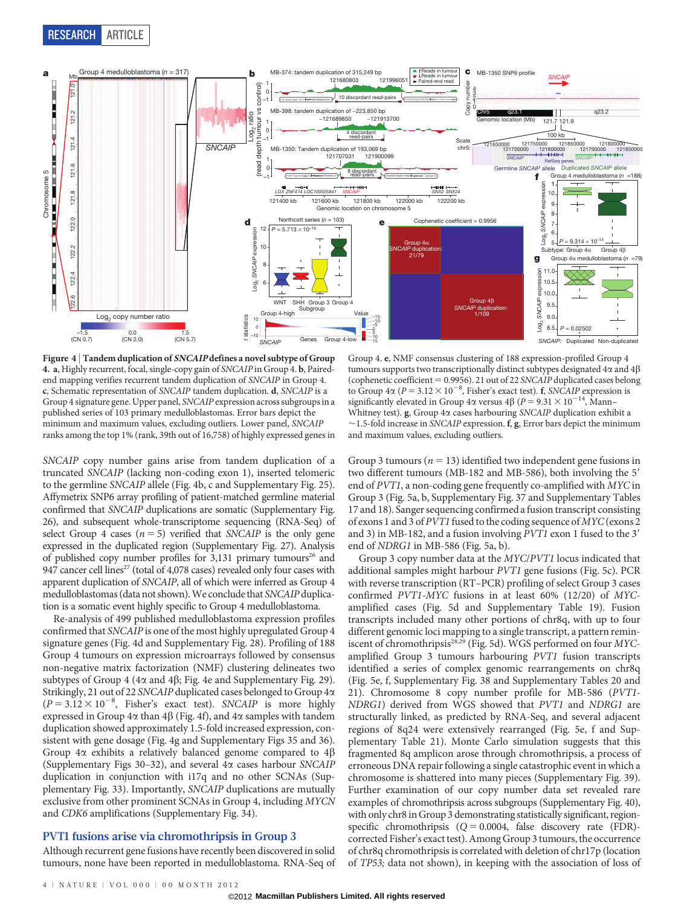

Figure 4 <sup>|</sup> Tandem duplication of SNCAIP defines a novel subtype of Group 4. a, Highly recurrent, focal, single-copy gain of SNCAIP in Group 4. b, Pairedend mapping verifies recurrent tandem duplication of SNCAIP in Group 4. c, Schematic representation of SNCAIP tandem duplication. d, SNCAIP is a Group 4 signature gene. Upper panel, SNCAIP expression across subgroups in a published series of 103 primary medulloblastomas. Error bars depict the minimum and maximum values, excluding outliers. Lower panel, SNCAIP ranks among the top 1% (rank, 39th out of 16,758) of highly expressed genes in

SNCAIP copy number gains arise from tandem duplication of a truncated SNCAIP (lacking non-coding exon 1), inserted telomeric to the germline SNCAIP allele (Fig. 4b, c and Supplementary Fig. 25). Affymetrix SNP6 array profiling of patient-matched germline material confirmed that SNCAIP duplications are somatic (Supplementary Fig. 26), and subsequent whole-transcriptome sequencing (RNA-Seq) of select Group 4 cases ( $n = 5$ ) verified that SNCAIP is the only gene expressed in the duplicated region (Supplementary Fig. 27). Analysis of published copy number profiles for  $3,131$  primary tumours<sup>26</sup> and 947 cancer cell lines<sup>27</sup> (total of 4,078 cases) revealed only four cases with apparent duplication of SNCAIP, all of which were inferred as Group 4 medulloblastomas (data not shown).We conclude that SNCAIP duplication is a somatic event highly specific to Group 4 medulloblastoma.

Re-analysis of 499 published medulloblastoma expression profiles confirmed that SNCAIP is one of the most highly upregulated Group 4 signature genes (Fig. 4d and Supplementary Fig. 28). Profiling of 188 Group 4 tumours on expression microarrays followed by consensus non-negative matrix factorization (NMF) clustering delineates two subtypes of Group 4 (4 $\alpha$  and 4 $\beta$ ; Fig. 4e and Supplementary Fig. 29). Strikingly, 21 out of 22 SNCAIP duplicated cases belonged to Group 4a  $(P = 3.12 \times 10^{-8}$ , Fisher's exact test). SNCAIP is more highly expressed in Group  $4\alpha$  than  $4\beta$  (Fig. 4f), and  $4\alpha$  samples with tandem duplication showed approximately 1.5-fold increased expression, consistent with gene dosage (Fig. 4g and Supplementary Figs 35 and 36). Group  $4\alpha$  exhibits a relatively balanced genome compared to  $4\beta$ (Supplementary Figs 30–32), and several 4a cases harbour SNCAIP duplication in conjunction with i17q and no other SCNAs (Supplementary Fig. 33). Importantly, SNCAIP duplications are mutually exclusive from other prominent SCNAs in Group 4, including MYCN and CDK6 amplifications (Supplementary Fig. 34).

## PVT1 fusions arise via chromothripsis in Group 3

Although recurrent gene fusions have recently been discovered in solid tumours, none have been reported in medulloblastoma. RNA-Seq of

Group 4. e, NMF consensus clustering of 188 expression-profiled Group 4 tumours supports two transcriptionally distinct subtypes designated  $4\alpha$  and  $4\beta$ (cophenetic coefficient  $= 0.9956$ ). 21 out of 22 SNCAIP duplicated cases belong to Group  $4\alpha$  ( $P = 3.12 \times 10^{-8}$ , Fisher's exact test). f, SNCAIP expression is significantly elevated in Group 4 $\alpha$  versus 4 $\beta$  (P = 9.31  $\times$  10<sup>-14</sup>, Mann– Whitney test).  $g$ , Group 4 $\alpha$  cases harbouring SNCAIP duplication exhibit a  $\sim$ 1.5-fold increase in SNCAIP expression. f, g, Error bars depict the minimum and maximum values, excluding outliers.

Group 3 tumours ( $n = 13$ ) identified two independent gene fusions in two different tumours (MB-182 and MB-586), both involving the 5' end of PVT1, a non-coding gene frequently co-amplified with MYC in Group 3 (Fig. 5a, b, Supplementary Fig. 37 and Supplementary Tables 17 and 18). Sanger sequencing confirmed a fusion transcript consisting of exons 1 and 3 of PVT1 fused to the coding sequence of MYC(exons 2 and 3) in MB-182, and a fusion involving  $PVT1$  exon 1 fused to the 3' end of NDRG1 in MB-586 (Fig. 5a, b).

Group 3 copy number data at the MYC/PVT1 locus indicated that additional samples might harbour PVT1 gene fusions (Fig. 5c). PCR with reverse transcription (RT–PCR) profiling of select Group 3 cases confirmed PVT1-MYC fusions in at least 60% (12/20) of MYCamplified cases (Fig. 5d and Supplementary Table 19). Fusion transcripts included many other portions of chr8q, with up to four different genomic loci mapping to a single transcript, a pattern reminiscent of chromothripsis<sup>28,29</sup> (Fig. 5d). WGS performed on four MYCamplified Group 3 tumours harbouring PVT1 fusion transcripts identified a series of complex genomic rearrangements on chr8q (Fig. 5e, f, Supplementary Fig. 38 and Supplementary Tables 20 and 21). Chromosome 8 copy number profile for MB-586 (PVT1- NDRG1) derived from WGS showed that PVT1 and NDRG1 are structurally linked, as predicted by RNA-Seq, and several adjacent regions of 8q24 were extensively rearranged (Fig. 5e, f and Supplementary Table 21). Monte Carlo simulation suggests that this fragmented 8q amplicon arose through chromothripsis, a process of erroneous DNA repair following a single catastrophic event in which a chromosome is shattered into many pieces (Supplementary Fig. 39). Further examination of our copy number data set revealed rare examples of chromothripsis across subgroups (Supplementary Fig. 40), with only chr8 in Group 3 demonstrating statistically significant, regionspecific chromothripsis  $(Q = 0.0004,$  false discovery rate (FDR)corrected Fisher's exact test). Among Group 3 tumours, the occurrence of chr8q chromothripsis is correlated with deletion of chr17p (location of TP53; data not shown), in keeping with the association of loss of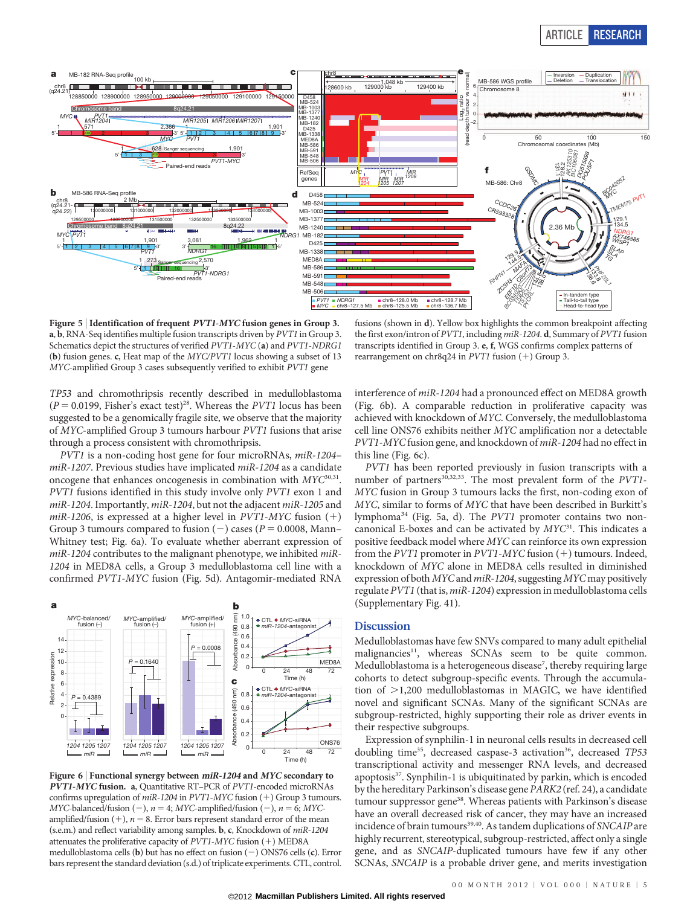

Figure 5 | Identification of frequent *PVT1-MYC* fusion genes in Group 3. a, b, RNA-Seq identifies multiple fusion transcripts driven by PVT1 in Group 3. Schematics depict the structures of verified PVT1-MYC (a) and PVT1-NDRG1 (b) fusion genes. c, Heat map of the MYC/PVT1 locus showing a subset of 13 MYC-amplified Group 3 cases subsequently verified to exhibit PVT1 gene

fusions (shown in d). Yellow box highlights the common breakpoint affecting the first exon/intron of PVT1, including miR-1204. d, Summary of PVT1 fusion transcripts identified in Group 3. e, f, WGS confirms complex patterns of rearrangement on chr8q24 in PVT1 fusion (+) Group 3.

TP53 and chromothripsis recently described in medulloblastoma  $(P = 0.0199,$  Fisher's exact test)<sup>28</sup>. Whereas the *PVT1* locus has been suggested to be a genomically fragile site, we observe that the majority of MYC-amplified Group 3 tumours harbour PVT1 fusions that arise through a process consistent with chromothripsis.

PVT1 is a non-coding host gene for four microRNAs, miR-1204– miR-1207. Previous studies have implicated miR-1204 as a candidate oncogene that enhances oncogenesis in combination with  $Myc^{30,31}$ . PVT1 fusions identified in this study involve only PVT1 exon 1 and miR-1204. Importantly, miR-1204, but not the adjacent miR-1205 and miR-1206, is expressed at a higher level in PVT1-MYC fusion  $(+)$ Group 3 tumours compared to fusion  $(-)$  cases ( $P = 0.0008$ , Mann– Whitney test; Fig. 6a). To evaluate whether aberrant expression of miR-1204 contributes to the malignant phenotype, we inhibited miR-1204 in MED8A cells, a Group 3 medulloblastoma cell line with a confirmed PVT1-MYC fusion (Fig. 5d). Antagomir-mediated RNA



Figure 6 <sup>|</sup> Functional synergy between miR-1204 and MYC secondary to PVT1-MYC fusion. a, Quantitative RT–PCR of PVT1-encoded microRNAs confirms upregulation of  $miR-1204$  in PVT1-MYC fusion (+) Group 3 tumours.  $MYC$ -balanced/fusion (-),  $n = 4$ ;  $MYC$ -amplified/fusion (-),  $n = 6$ ; MYCamplified/fusion  $(+)$ ,  $n = 8$ . Error bars represent standard error of the mean (s.e.m.) and reflect variability among samples. b, c, Knockdown of miR-1204 attenuates the proliferative capacity of  $PVT1-MYC$  fusion  $(+)$  MED8A medulloblastoma cells (b) but has no effect on fusion  $(-)$  ONS76 cells (c). Error bars represent the standard deviation (s.d.) of triplicate experiments. CTL, control.

interference of miR-1204 had a pronounced effect on MED8A growth (Fig. 6b). A comparable reduction in proliferative capacity was achieved with knockdown of MYC. Conversely, the medulloblastoma cell line ONS76 exhibits neither MYC amplification nor a detectable PVT1-MYC fusion gene, and knockdown of miR-1204 had no effect in this line (Fig. 6c).

PVT1 has been reported previously in fusion transcripts with a number of partners<sup>30,32,33</sup>. The most prevalent form of the  $PVT1$ -MYC fusion in Group 3 tumours lacks the first, non-coding exon of MYC, similar to forms of MYC that have been described in Burkitt's lymphoma<sup>34</sup> (Fig. 5a, d). The PVT1 promoter contains two noncanonical E-boxes and can be activated by  $MYC^{31}$ . This indicates a positive feedback model where MYC can reinforce its own expression from the  $PVT1$  promoter in  $PVT1-MYC$  fusion (+) tumours. Indeed, knockdown of MYC alone in MED8A cells resulted in diminished expression of both MYCand miR-1204, suggesting MYC may positively regulate PVT1 (that is, miR-1204) expression in medulloblastoma cells (Supplementary Fig. 41).

## **Discussion**

Medulloblastomas have few SNVs compared to many adult epithelial malignancies<sup>11</sup>, whereas SCNAs seem to be quite common. Medulloblastoma is a heterogeneous disease<sup>7</sup>, thereby requiring large cohorts to detect subgroup-specific events. Through the accumulation of  $>1,200$  medulloblastomas in MAGIC, we have identified novel and significant SCNAs. Many of the significant SCNAs are subgroup-restricted, highly supporting their role as driver events in their respective subgroups.

Expression of synphilin-1 in neuronal cells results in decreased cell doubling time<sup>35</sup>, decreased caspase-3 activation<sup>36</sup>, decreased TP53 transcriptional activity and messenger RNA levels, and decreased apoptosis<sup>37</sup>. Synphilin-1 is ubiquitinated by parkin, which is encoded by the hereditary Parkinson's disease gene PARK2 (ref. 24), a candidate tumour suppressor gene<sup>38</sup>. Whereas patients with Parkinson's disease have an overall decreased risk of cancer, they may have an increased incidence of brain tumours<sup>39,40</sup>. As tandem duplications of SNCAIP are highly recurrent, stereotypical, subgroup-restricted, affect only a single gene, and as SNCAIP-duplicated tumours have few if any other SCNAs, SNCAIP is a probable driver gene, and merits investigation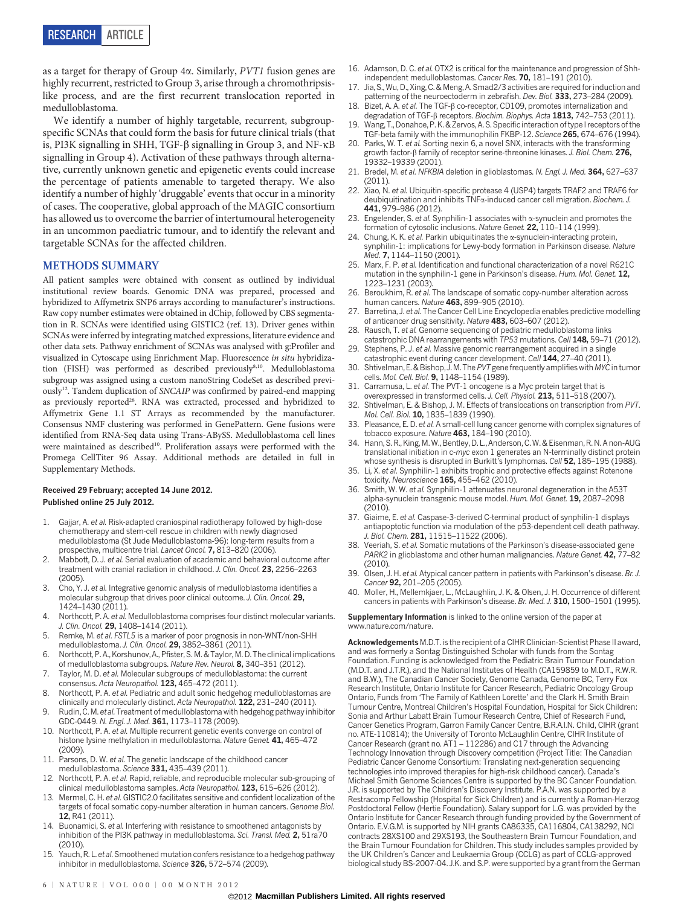as a target for therapy of Group 4a. Similarly, PVT1 fusion genes are highly recurrent, restricted to Group 3, arise through a chromothripsislike process, and are the first recurrent translocation reported in medulloblastoma.

We identify a number of highly targetable, recurrent, subgroupspecific SCNAs that could form the basis for future clinical trials (that is, PI3K signalling in SHH, TGF- $\beta$  signalling in Group 3, and NF- $\kappa$ B signalling in Group 4). Activation of these pathways through alternative, currently unknown genetic and epigenetic events could increase the percentage of patients amenable to targeted therapy. We also identify a number of highly 'druggable' events that occur in a minority of cases. The cooperative, global approach of the MAGIC consortium has allowed us to overcome the barrier of intertumoural heterogeneity in an uncommon paediatric tumour, and to identify the relevant and targetable SCNAs for the affected children.

## METHODS SUMMARY

All patient samples were obtained with consent as outlined by individual institutional review boards. Genomic DNA was prepared, processed and hybridized to Affymetrix SNP6 arrays according to manufacturer's instructions. Raw copy number estimates were obtained in dChip, followed by CBS segmentation in R. SCNAs were identified using GISTIC2 (ref. 13). Driver genes within SCNAs were inferred by integrating matched expressions, literature evidence and other data sets. Pathway enrichment of SCNAs was analysed with g:Profiler and visualized in Cytoscape using Enrichment Map. Fluorescence in situ hybridization (FISH) was performed as described previously<sup>8,10</sup>. Medulloblastoma subgroup was assigned using a custom nanoString CodeSet as described previously<sup>12</sup>. Tandem duplication of SNCAIP was confirmed by paired-end mapping as previously reported<sup>28</sup>. RNA was extracted, processed and hybridized to Affymetrix Gene 1.1 ST Arrays as recommended by the manufacturer. Consensus NMF clustering was performed in GenePattern. Gene fusions were identified from RNA-Seq data using Trans-ABySS. Medulloblastoma cell lines were maintained as described<sup>10</sup>. Proliferation assays were performed with the Promega CellTiter 96 Assay. Additional methods are detailed in full in Supplementary Methods.

#### Received 29 February; accepted 14 June 2012. Published online 25 July 2012.

- 1. Gajjar, A. et al. Risk-adapted craniospinal radiotherapy followed by high-dose chemotherapy and stem-cell rescue in children with newly diagnosed medulloblastoma (St Jude Medulloblastoma-96): long-term results from a prospective, multicentre trial. Lancet Oncol. 7, 813–820 (2006).
- Mabbott, D. J. et al. Serial evaluation of academic and behavioral outcome after treatment with cranial radiation in childhood. J. Clin. Oncol. 23, 2256–2263  $(2005)$
- 3. Cho, Y. J. et al. Integrative genomic analysis of medulloblastoma identifies a molecular subgroup that drives poor clinical outcome. J. Clin. Oncol. 29, 1424–1430 (2011).
- 4. Northcott, P. A. et al. Medulloblastoma comprises four distinct molecular variants. J. Clin. Oncol. 29, 1408–1414 (2011).
- 5. Remke, M. et al. FSTL5 is a marker of poor prognosis in non-WNT/non-SHH medulloblastoma. J. Clin. Oncol. 29, 3852-3861 (2011).
- 6. Northcott, P. A., Korshunov, A., Pfister, S. M. & Taylor, M. D. The clinical implications of medulloblastoma subgroups. Nature Rev. Neurol. 8, 340–351 (2012).
- 7. Taylor, M. D. et al. Molecular subgroups of medulloblastoma: the current consensus. Acta Neuropathol. 123, 465-472 (2011).
- 8. Northcott, P. A. et al. Pediatric and adult sonic hedgehog medulloblastomas are clinically and molecularly distinct. Acta Neuropathol. 122, 231-240 (2011).
- Rudin, C. M. et al. Treatment of medulloblastoma with hedgehog pathway inhibitor GDC-0449. N. Engl. J. Med. 361, 1173-1178 (2009).
- 10. Northcott, P. A. et al. Multiple recurrent genetic events converge on control of histone lysine methylation in medulloblastoma. Nature Genet. 41, 465-472 (2009).
- 11. Parsons, D. W. et al. The genetic landscape of the childhood cancer medulloblastoma. Science 331, 435-439 (2011).
- 12. Northcott, P. A. et al. Rapid, reliable, and reproducible molecular sub-grouping of clinical medulloblastoma samples. Acta Neuropathol. 123, 615-626 (2012).
- 13. Mermel, C. H. et al. GISTIC2.0 facilitates sensitive and confident localization of the targets of focal somatic copy-number alteration in human cancers. Genome Biol. 12, R41 (2011).
- 14. Buonamici, S. et al. Interfering with resistance to smoothened antagonists by inhibition of the PI3K pathway in medulloblastoma. Sci. Transl. Med. 2, 51ra70  $(2010)$
- Yauch, R. L. et al. Smoothened mutation confers resistance to a hedgehog pathway inhibitor in medulloblastoma. Science 326, 572–574 (2009).
- 16. Adamson, D. C. et al. OTX2 is critical for the maintenance and progression of Shhindependent medulloblastomas. Cancer Res. 70, 181-191 (2010)
- 17. Jia, S., Wu, D., Xing, C. & Meng, A. Smad2/3 activities are required for induction and patterning of the neuroectoderm in zebrafish. Dev. Biol. 333, 273–284 (2009).
- Bizet, A. A. et al. The TGF- $\beta$  co-receptor, CD109, promotes internalization and degradation of TGF-B receptors. Biochim. Biophys. Acta 1813, 742-753 (2011).
- Wang, T., Donahoe, P. K. & Zervos, A. S. Specific interaction of type I receptors of the TGF-beta family with the immunophilin FKBP-12. Science 265, 674–676 (1994).
- 20. Parks, W. T. et al. Sorting nexin 6, a novel SNX, interacts with the transforming growth factor- $\beta$  family of receptor serine-threonine kinases. J. Biol. Chem. 276, 19332–19339 (2001).
- 21. Bredel, M. et al. NFKBIA deletion in glioblastomas. N. Engl. J. Med. 364, 627-637 (2011).
- 22. Xiao, N. et al. Ubiquitin-specific protease 4 (USP4) targets TRAF2 and TRAF6 for deubiquitination and inhibits TNFa-induced cancer cell migration. Biochem. J. 441, 979–986 (2012).
- 23. Engelender, S. et al. Synphilin-1 associates with  $\alpha$ -synuclein and promotes the formation of cytosolic inclusions. Nature Genet. 22, 110-114 (1999).
- 24. Chung, K. K. et al. Parkin ubiquitinates the  $\alpha$ -synuclein-interacting protein synphilin-1: implications for Lewy-body formation in Parkinson disease. Nature Med. 7, 1144–1150 (2001).
- 25. Marx, F. P. et al. Identification and functional characterization of a novel R621C mutation in the synphilin-1 gene in Parkinson's disease. Hum. Mol. Genet. 12, 1223–1231 (2003).
- 26. Beroukhim, R. et al. The landscape of somatic copy-number alteration across human cancers. Nature 463, 899-905 (2010).
- 27. Barretina, J. et al. The Cancer Cell Line Encyclopedia enables predictive modelling of anticancer drug sensitivity. Nature 483, 603–607 (2012).
- Rausch, T. et al. Genome sequencing of pediatric medulloblastoma links catastrophic DNA rearrangements with TP53 mutations. Cell 148, 59-71 (2012).
- 29. Stephens, P. J. et al. Massive genomic rearrangement acquired in a single catastrophic event during cancer development. Cell 144, 27-40 (2011)
- Shtivelman, E. & Bishop, J.M. The PVT gene frequently amplifies with MYC in tumor cells. Mol. Cell. Biol. 9, 1148-1154 (1989).
- 31. Carramusa, L. et al. The PVT-1 oncogene is a Myc protein target that is overexpressed in transformed cells. J. Cell. Physiol. 213, 511–518 (2007).
- 32. Shtivelman, E. & Bishop, J. M. Effects of translocations on transcription from PVT. Mol. Cell. Biol. 10, 1835-1839 (1990).
- 33. Pleasance, E. D. et al. A small-cell lung cancer genome with complex signatures of tobacco exposure. Nature 463, 184–190 (2010).
- 34. Hann, S. R., King, M. W., Bentley, D. L., Anderson, C. W. & Eisenman, R. N. A non-AUG translational initiation in c-myc exon 1 generates an N-terminally distinct protein whose synthesis is disrupted in Burkitt's lymphomas. Cell 52, 185-195 (1988).
- 35. Li, X. et al. Synphilin-1 exhibits trophic and protective effects against Rotenone toxicity. Neuroscience 165, 455–462 (2010).
- 36. Smith, W. W. et al. Synphilin-1 attenuates neuronal degeneration in the A53T alpha-synuclein transgenic mouse model. Hum. Mol. Genet. 19, 2087–2098  $(2010)$
- 37. Giaime, E. et al. Caspase-3-derived C-terminal product of synphilin-1 displays antiapoptotic function via modulation of the p53-dependent cell death pathway. J. Biol. Chem. 281, 11515-11522 (2006).
- 38. Veeriah, S. et al. Somatic mutations of the Parkinson's disease-associated gene PARK2 in glioblastoma and other human malignancies. Nature Genet. 42, 77-82 (2010).
- 39. Olsen, J. H. et al. Atypical cancer pattern in patients with Parkinson's disease. Br. J. Cancer 92, 201–205 (2005).
- 40. Moller, H., Mellemkjaer, L., McLaughlin, J. K. & Olsen, J. H. Occurrence of different cancers in patients with Parkinson's disease. Br. Med. J. 310, 1500–1501 (1995).

Supplementary Information is linked to the online version of the paper at <www.nature.com/nature>.

Acknowledgements M.D.T. is the recipient of a CIHR Clinician-Scientist Phase II award, and was formerly a Sontag Distinguished Scholar with funds from the Sontag Foundation. Funding is acknowledged from the Pediatric Brain Tumour Foundation (M.D.T. and J.T.R.), and the National Institutes of Health (CA159859 to M.D.T., R.W.R. and B.W.), The Canadian Cancer Society, Genome Canada, Genome BC, Terry Fox Research Institute, Ontario Institute for Cancer Research, Pediatric Oncology Group Ontario, Funds from 'The Family of Kathleen Lorette' and the Clark H. Smith Brain Tumour Centre, Montreal Children's Hospital Foundation, Hospital for Sick Children: Sonia and Arthur Labatt Brain Tumour Research Centre, Chief of Research Fund, Cancer Genetics Program, Garron Family Cancer Centre, B.R.A.I.N. Child, CIHR (grant no. ATE-110814); the University of Toronto McLaughlin Centre, CIHR Institute of Cancer Research (grant no. AT1 – 112286) and C17 through the Advancing Technology Innovation through Discovery competition (Project Title: The Canadian Pediatric Cancer Genome Consortium: Translating next-generation sequencing technologies into improved therapies for high-risk childhood cancer). Canada's Michael Smith Genome Sciences Centre is supported by the BC Cancer Foundation. J.R. is supported by The Children's Discovery Institute. P.A.N. was supported by a Restracomp Fellowship (Hospital for Sick Children) and is currently a Roman-Herzog Postdoctoral Fellow (Hertie Foundation). Salary support for L.G. was provided by the Ontario Institute for Cancer Research through funding provided by the Government of Ontario. E.V.G.M. is supported by NIH grants CA86335, CA116804, CA138292, NCI contracts 28XS100 and 29XS193, the Southeastern Brain Tumour Foundation, and the Brain Tumour Foundation for Children. This study includes samples provided by the UK Children's Cancer and Leukaemia Group (CCLG) as part of CCLG-approved biological study BS-2007-04. J.K. and S.P. were supported by a grant from the German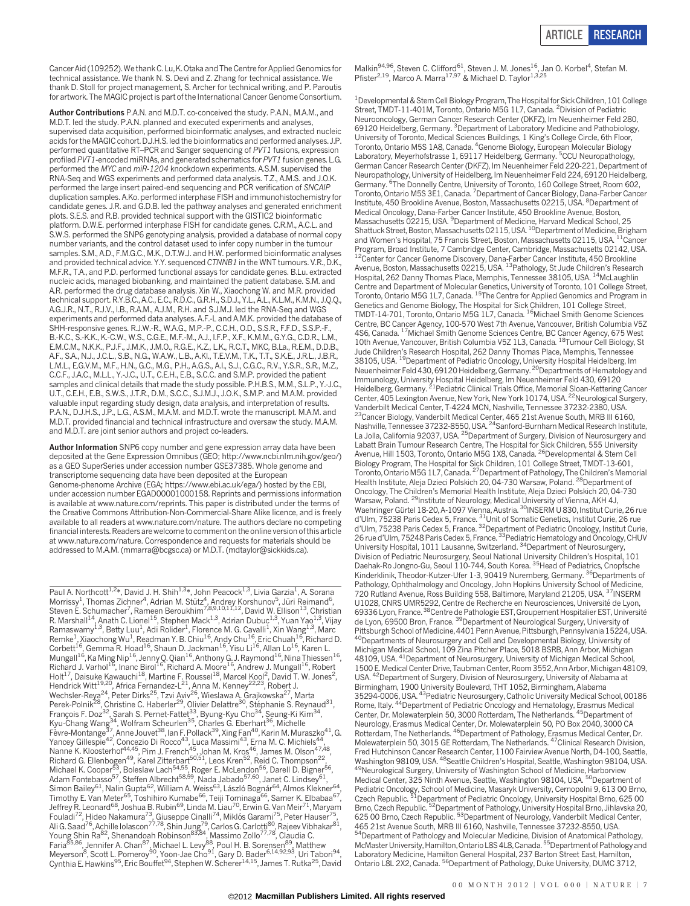Cancer Aid (109252).We thank C. Lu, K. Otaka and The Centre for Applied Genomics for technical assistance. We thank N. S. Devi and Z. Zhang for technical assistance. We thank D. Stoll for project management, S. Archer for technical writing, and P. Paroutis for artwork. The MAGIC project is part of the International Cancer Genome Consortium.

Author Contributions P.A.N. and M.D.T. co-conceived the study. P.A.N., M.A.M., and M.D.T. led the study. P.A.N. planned and executed experiments and analyses, supervised data acquisition, performed bioinformatic analyses, and extracted nucleic acids for the MAGIC cohort. D.J.H.S. led the bioinformatics and performed analyses. J.P. performed quantitative RT–PCR and Sanger sequencing of PVT1 fusions, expression profiled PVT1-encoded miRNAs, and generated schematics for PVT1 fusion genes. L.G. performed the MYC and miR-1204 knockdown experiments. A.S.M. supervised the RNA-Seq and WGS experiments and performed data analysis. T.Z., A.M.S. and J.O.K. performed the large insert paired-end sequencing and PCR verification of SNCAIP duplication samples. A.Ko. performed interphase FISH and immunohistochemistry for candidate genes. J.R. and G.D.B. led the pathway analyses and generated enrichment plots. S.E.S. and R.B. provided technical support with the GISTIC2 bioinformatic platform. D.W.E. performed interphase FISH for candidate genes. C.R.M., A.C.L. and S.W.S. performed the SNP6 genotyping analysis, provided a database of normal copy number variants, and the control dataset used to infer copy number in the tumour samples. S.M., A.D., F.M.G.C., M.K., D.T.W.J. and H.W. performed bioinformatic analyses and provided technical advice. Y.Y. sequenced CTNNB1 in the WNT tumours. V.R., D.K., M.F.R., T.A., and P.D. performed functional assays for candidate genes. B.Lu. extracted nucleic acids, managed biobanking, and maintained the patient database. S.M. and A.R. performed the drug database analysis. Xin W., Xiaochong W. and M.R. provided technical support. R.Y.B.C., A.C., E.C., R.D.C., G.R.H., S.D.J., Y.L., A.L., K.L.M., K.M.N., J.Q.Q., A.G.J.R., N.T., R.J.V., I.B., R.A.M., A.J.M., R.H. and S.J.M.J. led the RNA-Seq and WGS experiments and performed data analyses. A.F.-L and A.M.K. provided the database of SHH-responsive genes. R.J.W.-R., W.A.G., M.P.-P., C.C.H., O.D., S.S.R., F.F.D., S.S.P.-F., B.-K.C., S.-K.K., K.-C.W., W.S., C.G.E., M.F.-M., A.J., I.F.P., X.F., K.M.M., G.Y.G., C.D.R., L.M., E.M.C.M., N.K.K., P.J.F., J.M.K., J.M.O., R.G.E., K.Z., L.K., R.C.T., MKC, B.La., R.E.M., D.D.B., A.F., S.A., N.J., J.C.L., S.B., N.G., W.A.W., L.B., A.Kl., T.E.V.M., T.K., T.T., S.K.E., J.R.L., J.B.R., L.M.L., E.G.V.M., M.F., H.N., G.C., M.G., P.H., A.G.S., A.I., S.J., C.G.C., R.V., Y.S.R., S.R., M.Z., C.C.F., J.A.C., M.L.L., Y.-J.C., U.T., C.E.H., E.B., S.C.C. and S.M.P. provided the patient samples and clinical details that made the study possible. P.H.B.S., M.M., S.L.P., Y.-J.C., U.T., C.E.H., E.B., S.W.S., J.T.R., D.M., S.C.C., S.J.M.J., J.O.K., S.M.P. and M.A.M. provided valuable input regarding study design, data analysis, and interpretation of results. P.A.N., D.J.H.S., J.P., L.G., A.S.M., M.A.M. and M.D.T. wrote the manuscript. M.A.M. and M.D.T. provided financial and technical infrastructure and oversaw the study. M.A.M. and M.D.T. are joint senior authors and project co-leaders.

Author Information SNP6 copy number and gene expression array data have been deposited at the Gene Expression Omnibus (GEO; [http://www.ncbi.nlm.nih.gov/geo/\)](http://www.ncbi.nlm.nih.gov/geo) as a GEO SuperSeries under accession number GSE37385. Whole genome and transcriptome sequencing data have been deposited at the European Genome-phenome Archive (EGA; [https://www.ebi.ac.uk/ega/\)](https://www.ebi.ac.uk/ega) hosted by the EBI, under accession number EGAD00001000158. Reprints and permissions information is available at<www.nature.com/reprints>. This paper is distributed under the terms of the Creative Commons Attribution-Non-Commercial-Share Alike licence, and is freely available to all readers at [www.nature.com/nature.](http://www.nature.com/nature) The authors declare no competing financial interests. Readers are welcome to comment on the online version of this article at [www.nature.com/nature.](www.nature.com/nature) Correspondence and requests for materials should be addressed to M.A.M. [\(mmarra@bcgsc.ca\)](mailto:mmarra@bcgsc.ca) or M.D.T. [\(mdtaylor@sickkids.ca\).](mailto:mdtaylor@sickkids.ca)

Paul A. Northcott<sup>1,2</sup>\*, David J. H. Shih<sup>1,3</sup>\*, John Peacock<sup>1,3</sup>, Livia Garzia<sup>1</sup>, A. Sorana<br>Morrissy<sup>1</sup>, Thomas Zichner<sup>4</sup>, Adrian M. Stütz<sup>4</sup>, Andrey Korshunov<sup>5</sup>, Jüri Reimand<sup>6</sup>,<br>Steven E. Schumacher<sup>7</sup>, Rameen Berou R. Marshall<sup>14</sup>, Anath C. Lionel<sup>15</sup>, Stephen Mack<sup>1,3</sup>, Adrian Dubuc<sup>1,3</sup>, Yuan Yao<sup>1,3</sup>, Vijay Ramaswamy<sup>1,3</sup>, Betty Luu<sup>1</sup>, Adi Rolider<sup>1</sup>, Florence M. G. Cavalli<sup>1</sup>, Xin Wang<sup>1,3</sup>, Marc Remke<sup>1</sup>, Xiaochong Wu<sup>1</sup>, Readman Y. B. Chiu<sup>16</sup>, Andy Chu<sup>16</sup>, Eric Chuah<sup>16</sup>, Richard D. Corbett<sup>16</sup>, Gemma R. Hoad<sup>16</sup>, Shaun D. Jackman<sup>16</sup>, Yisu Li<sup>16</sup>, Allan Lo<sup>16</sup>, Karen L. Mungall<sup>16</sup>, Ka Ming Nip<sup>16</sup>, Jenny Q. Qian<sup>16</sup>, Anthony G. J. Raymond<sup>16</sup>, Nina Thiessen<sup>16</sup>, Richard J. Varhol<sup>16</sup>, Inanc Birol<sup>16</sup>, Richard A. Moore<sup>16</sup>, Andrew J. Mungall<sup>16</sup>, Robert Holt<sup>17</sup>, Daisuke Kawauchi<sup>18</sup>, Martine F. Roussel<sup>18</sup>, Marcel Kool<sup>2</sup>, David T. W. Jones<sup>2</sup>,<br>Hendrick Witt<sup>19,20</sup>, Africa Fernandez-L<sup>21</sup>, Anna M. Kenney<sup>22,23</sup>, Robert J. Wechsler-Reya<sup>24</sup>, Peter Dirks<sup>25</sup>, Tzvi Aviv<sup>26</sup>, Wieslawa A. Grajkowska<sup>27</sup>, Marta Perek-Polnik<sup>28</sup>, Christine C. Haberler<sup>29</sup>, Olivier Delattre<sup>30</sup>, Stéphanie S. Reynaud<sup>31</sup>, François F. Doz<sup>32</sup>, Sarah S. Pernet-Fattet<sup>33</sup>, Byung-Kyu Cho<sup>34</sup>, Seung-Ki Kim<sup>34</sup>, Kyu-Chang Wang<sup>34</sup>, Wolfram Scheurlen<sup>35</sup>, Charles G. Eberhart<sup>36</sup>, Michelle Fèvre-Montange<sup>37</sup>, Anne Jouvet<sup>38</sup>, Ian F. Pollack<sup>39</sup>, Xing Fan<sup>40</sup>, Karin M. Muraszko<sup>41</sup>, G. Yancey Gillespie<sup>42</sup>, Concezio Di Rocco<sup>43</sup>, Luca Massimi<sup>43</sup>, Erna M. C. Michiels<sup>44</sup>, Nanne K. Kloosterhof<sup>44,45</sup>, Pim J. French<sup>45</sup>, Johan M. Kros<sup>46</sup>, James M. Olson<sup>47,48</sup>, Richard G. Ellenbogen<sup>49</sup>, Karel Zitterbart<sup>50,51</sup>, Leos Kren<sup>52</sup>, Reid C. Thompson<sup>22</sup>, Michael K. Cooper<sup>53</sup>, Boleslaw Lach<sup>54,55</sup>, Roger E. McLendon<sup>56</sup>, Darell D. Bigner<sup>56</sup>, Adam Fontebasso<sup>57</sup>, Steffen Albrecht<sup>58,59</sup>, Nada Jabado<sup>57,60</sup>, Janet C. Lindsey<sup>61</sup>, Simon Bailey<sup>61</sup>, Nalin Gupta<sup>62</sup>, William A. Weiss<sup>63</sup>, László Bognár<sup>64</sup>, Almos Klekner<sup>64</sup>, Timothy E. Van Meter<sup>65</sup>, Toshihiro Kumabe<sup>66</sup>, Teiji Tominaga<sup>66</sup>, Samer K. Elbabaa<sup>67</sup>, Jeffrey R. Leonard<sup>68</sup>, Joshua B. Rubin<sup>69</sup>, Linda M. Liau<sup>70</sup>, Erwin G. Van Meir<sup>71</sup>, Maryam Fouladi<sup>72</sup>, Hideo Nakamura<sup>73</sup>, Giuseppe Cinalli<sup>74</sup>, Miklós Garami<sup>75</sup>, Peter Hauser<sup>75</sup>, Ali G. Saad<sup>76</sup>, Achille Iolascon<sup>77,78</sup>, Shin Jung<sup>79</sup>, Carlos G. Carlotti<sup>80</sup>, Rajeev Vibhakar<sup>81</sup>, Young Shin Ra<sup>82</sup>, Shenandoah Robinson<sup>83,84</sup>, Massimo Zollo<sup>77,78</sup>, Claudia C. Faria<sup>85,86</sup>, Jennifer A. Chan<sup>87</sup>, Michael L. Levy<sup>88</sup>, Poul H. B. Sorensen<sup>89</sup>, Matthew Meyerson<sup>8</sup>, Scott L. Pomeroy<sup>90</sup>, Yoon-Jae Cho<sup>91</sup>, Gary D. Bader<sup>6,14,92,93</sup>, Uri Tabori<sup>94</sup>, Cynthia E. Hawkins<sup>95</sup>, Eric Bouffet<sup>94</sup>, Stephen W. Scherer<sup>14,15</sup>, James T. Rutka<sup>25</sup>, David Malkin<sup>94,96</sup>, Steven C. Clifford<sup>61</sup>, Steven J. M. Jones<sup>16</sup>, Jan O. Korbel<sup>4</sup>, Stefan M.<br>Pfister<sup>2,19</sup>, Marco A. Marra<sup>17,97</sup> & Michael D. Taylor<sup>1,3,25</sup>

<sup>1</sup> Developmental & Stem Cell Biology Program, The Hospital for Sick Children, 101 College Street, TMDT-11-401M, Toronto, Ontario M5G 1L7, Canada. <sup>2</sup> Division of Pediatric Neurooncology, German Cancer Research Center (DKFZ), Im Neuenheimer Feld 280, 69120 Heidelberg, Germany. <sup>3</sup> Department of Laboratory Medicine and Pathobiology University of Toronto, Medical Sciences Buildings, 1 King's College Circle, 6th Floor, Toronto, Ontario M5S 1A8, Canada. <sup>4</sup> Genome Biology, European Molecular Biology Laboratory, Meyerhofstrasse 1, 69117 Heidelberg, Germany. <sup>5</sup>CCU Neuropathology German Cancer Research Center (DKFZ), Im Neuenheimer Feld 220-221, Department of Neuropathology, University of Heidelberg, Im Neuenheimer Feld 224, 69120 Heidelberg, Germany. <sup>6</sup>The Donnelly Centre, University of Toronto, 160 College Street, Room 602 Toronto, Ontario M5S 3E1, Canada. <sup>7</sup> Department of Cancer Biology, Dana-Farber Cancer Institute, 450 Brookline Avenue, Boston, Massachusetts 02215, USA. <sup>8</sup>Department of Medical Oncology, Dana-Farber Cancer Institute, 450 Brookline Avenue, Boston, Massachusetts 02215, USA. <sup>9</sup>Department of Medicine, Harvard Medical School, 25<br>Shattuck Street, Boston, Massachusetts 02115, USA. <sup>10</sup>Department of Medicine, Brigham and Women's Hospital, 75 Francis Street, Boston, Massachusetts 02115, USA. <sup>11</sup>Cancer Program, Broad Institute, 7 Cambridge Center, Cambridge, Massachusetts 02142, USA. <sup>12</sup>Center for Cancer Genome Discovery, Dana-Farber Cancer Institute, 450 Brookline<br>Avenue, Boston, Massachusetts 02215, USA. <sup>13</sup>Pathology, St Jude Children's Research Hospital, 262 Danny Thomas Place, Memphis, Tennessee 38105, USA. 14McLaughlin Centre and Department of Molecular Genetics, University of Toronto, 101 College Street,<br>Toronto, Ontario M5G 1L7, Canada. <sup>15</sup>The Centre for Applied Genomics and Program in Genetics and Genome Biology, The Hospital for Sick Children, 101 College Street, TMDT-14-701, Toronto, Ontario M5G 1L7, Canada. 16Michael Smith Genome Sciences Centre, BC Cancer Agency, 100-570 West 7th Avenue, Vancouver, British Columbia V5Z 4S6, Canada. 17Michael Smith Genome Sciences Centre, BC Cancer Agency, 675 West 10th Avenue, Vancouver, British Columbia V5Z 1L3, Canada. 18Tumour Cell Biology, St Jude Children's Research Hospital, 262 Danny Thomas Place, Memphis, Tennessee<br>38105, USA. <sup>19</sup>Department of Pediatric Oncology, University Hospital Heidelberg, Im Neuenheimer Feld 430, 69120 Heidelberg, Germany. <sup>20</sup>Departments of Hematology and Immunology, University Hospital Heidelberg, Im Neuenheimer Feld 430, 69120<br>Heidelberg, Germany. <sup>21</sup>Pediatric Clinical Trials Office, Memorial Sloan-Kettering Cancer Center, 405 Lexington Avenue, New York, New York 10174, USA. <sup>22</sup>Neurological Surgery, Vanderbilt Medical Center, T-4224 MCN, Nashville, Tennessee 37232-2380, USA. <sup>23</sup>Cancer Biology, Vanderbilt Medical Center, 465 21st Avenue South, MRB III 6160, Nashville, Tennessee 37232-8550, USA. <sup>24</sup>Sanford-Burnham Medical Research Institute<br>La Jolla, California 92037, USA. <sup>25</sup>Department of Surgery, Division of Neurosurgery and Labatt Brain Tumour Research Centre, The Hospital for Sick Children, 555 University<br>Avenue, Hill 1503, Toronto, Ontario M5G 1X8, Canada. <sup>26</sup>Developmental & Stem Cell Biology Program, The Hospital for Sick Children, 101 College Street, TMDT-13-601,<br>Toronto, Ontario M5G 1L7, Canada. <sup>27</sup>Department of Pathology, The Children's Memorial Health Institute, Aleja Dzieci Polskich 20, 04-730 Warsaw, Poland. <sup>28</sup>Department of Oncology, The Children's Memorial Health Institute, Aleja Dzieci Polskich 20, 04-730<br>Warsaw, Poland. <sup>29</sup>lnstitute of Neurology, Medical University of Vienna, AKH 4J,<br>Waehringer Gürtel 18-20, A-1097 Vienna, Austria. <sup>30</sup>lN d'Ulm, 75238 Paris Cedex 5, France. <sup>31</sup>Unit of Somatic Genetics, Institut Curie, 26 rue d'Ulm, 75238 Paris Cedex 5, France. <sup>32</sup> Department of Pediatric Oncology, Institut Curie, 26 rue d'Ulm, 75248 Paris Cedex 5, France. <sup>33</sup> Pediatric Hematology and Oncology, CHUV University Hospital, 1011 Lausanne, Switzerland. <sup>34</sup>Department of Neurosurgery, Division of Pediatric Neurosurgery, Seoul National University Children's Hospital, 101<br>Daehak-Ro Jongno-Gu, Seoul 110-744, South Korea. <sup>35</sup>Head of Pediatrics, Cnopfsche Kinderklinik, Theodor-Kutzer-Ufer 1-3, 90419 Nuremberg, Germany. 36Departments of Pathology, Ophthalmology and Oncology, John Hopkins University School of Medicine, 720 Rutland Avenue, Ross Building 558, Baltimore, Maryland 21205, USA. <sup>37</sup>INSERM U1028, CNRS UMR5292, Centre de Recherche en Neurosciences, Université de Lyon 69336 Lyon, France. <sup>38</sup>Centre de Pathologie EST, Groupement Hospitalier EST, Université de Lyon, 69500 Bron, France. 39Department of Neurological Surgery, University of Pittsburgh School of Medicine, 4401 Penn Avenue, Pittsburgh, Pennsylvania 15224, USA<br><sup>40</sup>Departments of Neurosurgery and Cell and Developmental Biology, University of Michigan Medical School, 109 Zina Pitcher Place, 5018 BSRB, Ann Arbor, Michigan 48109, USA. <sup>41</sup> Department of Neurosurgery, University of Michigan Medical School 1500 E. Medical Center Drive, Taubman Center, Room 3552, Ann Arbor, Michigan 48109, USA. 42Department of Surgery, Division of Neurosurgery, University of Alabama at Birmingham, 1900 University Boulevard, THT 1052, Birmingham, Alabama 35294-0006, USA. <sup>43</sup>Pediatric Neurosurgery, Catholic University Medical School, 00186<br>Rome, Italy. <sup>44</sup>Department of Pediatric Oncology and Hematology, Erasmus Medical Center, Dr. Molewaterplein 50, 3000 Rotterdam, The Netherlands. 45Department of Neurology, Erasmus Medical Center, Dr. Molewaterplein 50, PO Box 2040, 3000 CA<br>Rotterdam, The Netherlands. <sup>46</sup>Department of Pathology, Erasmus Medical Center, Dr.<br>Molewaterplein 50, 3015 GE Rotterdam, The Netherlands. <sup>47</sup> Fred Hutchinson Cancer Research Center, 1100 Fairview Avenue North, D4-100, Seattle, Washington 98109, USA. 48Seattle Children's Hospital, Seattle, Washington 98104, USA. 49Neurological Surgery, University of Washington School of Medicine, Harborview Medical Center, 325 Ninth Avenue, Seattle, Washington 98104, USA. <sup>50</sup>Department of Pediatric Oncology, School of Medicine, Masaryk University, Cernopolni 9, 613 00 Brno,<br>Czech Republic. <sup>51</sup>Department of Pediatric Oncology, University Hospital Brno, 625 00 Brno, Czech Republic. <sup>52</sup>Department of Pathology, University Hospital Brno, Jihlavska 20 625 00 Brno, Czech Republic. 53Department of Neurology, Vanderbilt Medical Center, 465 21st Avenue South, MRB III 6160, Nashville, Tennessee 37232-8550, USA. <sup>54</sup>Department of Pathology and Molecular Medicine, Division of Anatomical Pathology McMaster University, Hamilton, Ontario L8S 4L8, Canada. <sup>55</sup> Department of Pathology and Laboratory Medicine, Hamilton General Hospital, 237 Barton Street East, Hamilton, Ontario L8L 2X2, Canada. <sup>56</sup>Department of Pathology, Duke University, DUMC 3712,